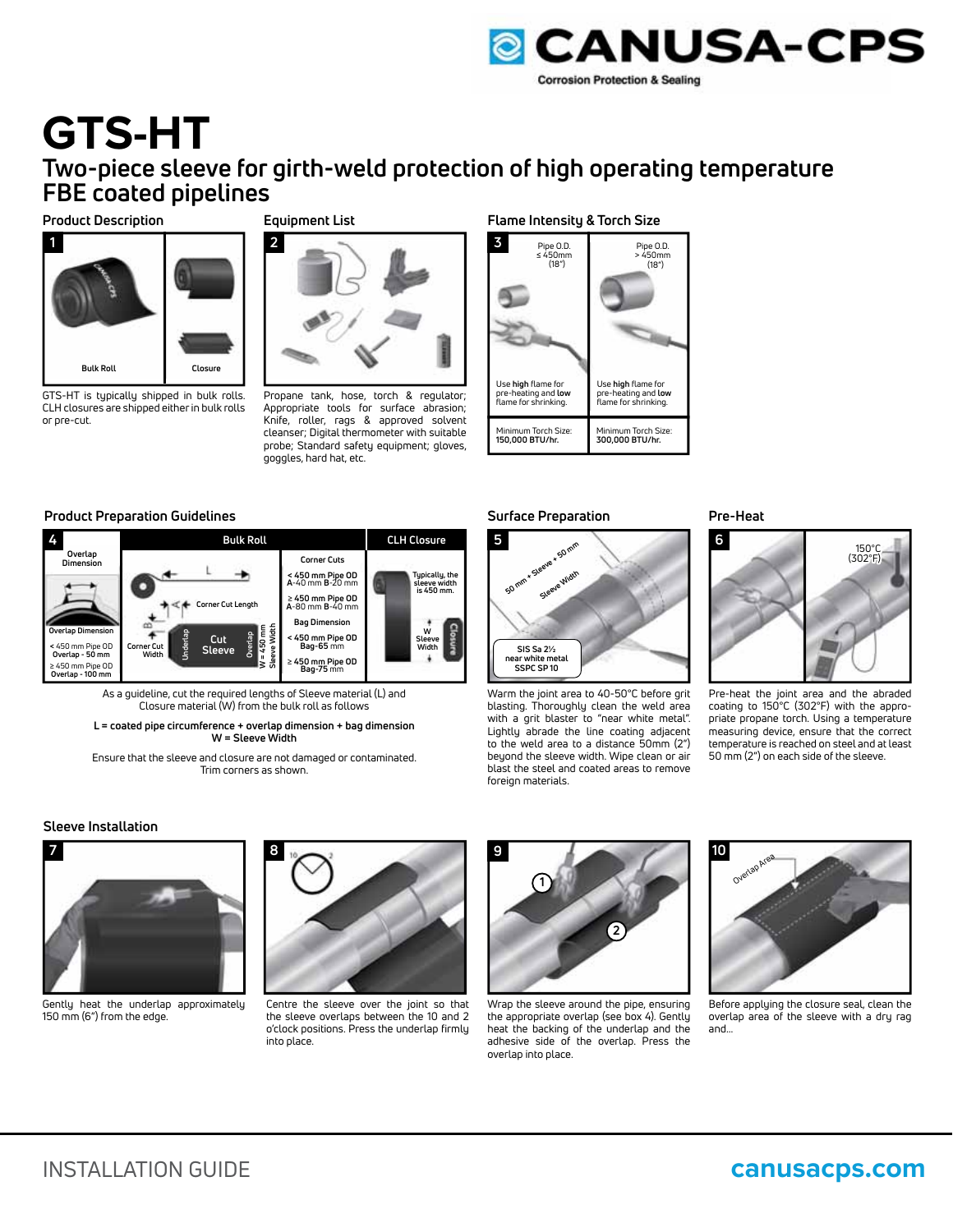

# **GTS-HT Two-piece sleeve for girth-weld protection of high operating temperature FBE coated pipelines**

### **Product Description**



GTS-HT is typically shipped in bulk rolls. CLH closures are shipped either in bulk rolls or pre-cut.

# **Equipment List**



Propane tank, hose, torch & regulator; Appropriate tools for surface abrasion; Knife, roller, rags & approved solvent cleanser; Digital thermometer with suitable probe; Standard safety equipment; gloves, goggles, hard hat, etc.

### **Flame Intensity & Torch Size**



# **Product Preparation Guidelines Pre-Heat**



As a guideline, cut the required lengths of Sleeve material (L) and Closure material (W) from the bulk roll as follows

**L = coated pipe circumference + overlap dimension + bag dimension W = Sleeve Width**

Ensure that the sleeve and closure are not damaged or contaminated. Trim corners as shown.

# **Surface Preparation**



Warm the joint area to 40-50°C before grit blasting. Thoroughly clean the weld area with a grit blaster to "near white metal". Lightly abrade the line coating adjacent to the weld area to a distance 50mm (2") beyond the sleeve width. Wipe clean or air blast the steel and coated areas to remove foreign materials.



Pre-heat the joint area and the abraded coating to 150°C (302°F) with the appropriate propane torch. Using a temperature measuring device, ensure that the correct temperature is reached on steel and at least 50 mm (2") on each side of the sleeve.

## **Sleeve Installation**



Gently heat the underlap approximately 150 mm (6") from the edge.



Centre the sleeve over the joint so that the sleeve overlaps between the 10 and 2 o'clock positions. Press the underlap firmly into place.



Wrap the sleeve around the pipe, ensuring the appropriate overlap (see box 4). Gently heat the backing of the underlap and the adhesive side of the overlap. Press the overlap into place.



Before applying the closure seal, clean the overlap area of the sleeve with a dry rag and...

# INSTALLATION GUIDE **canusacps.com**